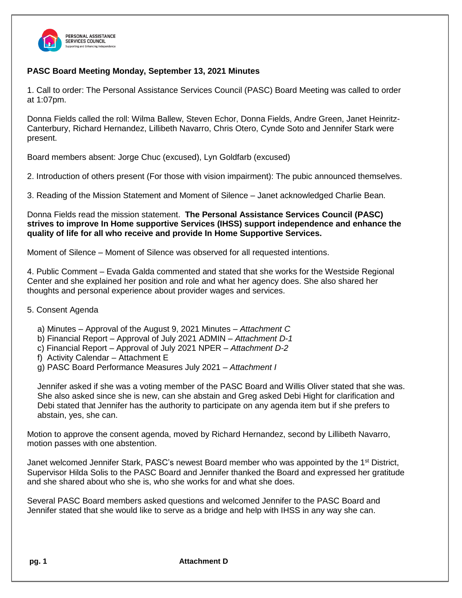

## **PASC Board Meeting Monday, September 13, 2021 Minutes**

1. Call to order: The Personal Assistance Services Council (PASC) Board Meeting was called to order at 1:07pm.

Donna Fields called the roll: Wilma Ballew, Steven Echor, Donna Fields, Andre Green, Janet Heinritz-Canterbury, Richard Hernandez, Lillibeth Navarro, Chris Otero, Cynde Soto and Jennifer Stark were present.

Board members absent: Jorge Chuc (excused), Lyn Goldfarb (excused)

2. Introduction of others present (For those with vision impairment): The pubic announced themselves.

3. Reading of the Mission Statement and Moment of Silence – Janet acknowledged Charlie Bean.

Donna Fields read the mission statement. **The Personal Assistance Services Council (PASC) strives to improve In Home supportive Services (IHSS) support independence and enhance the quality of life for all who receive and provide In Home Supportive Services.**

Moment of Silence – Moment of Silence was observed for all requested intentions.

4. Public Comment – Evada Galda commented and stated that she works for the Westside Regional Center and she explained her position and role and what her agency does. She also shared her thoughts and personal experience about provider wages and services.

## 5. Consent Agenda

- a) Minutes Approval of the August 9, 2021 Minutes *Attachment C*
- b) Financial Report Approval of July 2021 ADMIN *Attachment D-1*
- c) Financial Report Approval of July 2021 NPER *Attachment D-2*
- f) Activity Calendar Attachment E
- g) PASC Board Performance Measures July 2021 *– Attachment I*

Jennifer asked if she was a voting member of the PASC Board and Willis Oliver stated that she was. She also asked since she is new, can she abstain and Greg asked Debi Hight for clarification and Debi stated that Jennifer has the authority to participate on any agenda item but if she prefers to abstain, yes, she can.

Motion to approve the consent agenda, moved by Richard Hernandez, second by Lillibeth Navarro, motion passes with one abstention.

Janet welcomed Jennifer Stark, PASC's newest Board member who was appointed by the 1<sup>st</sup> District, Supervisor Hilda Solis to the PASC Board and Jennifer thanked the Board and expressed her gratitude and she shared about who she is, who she works for and what she does.

Several PASC Board members asked questions and welcomed Jennifer to the PASC Board and Jennifer stated that she would like to serve as a bridge and help with IHSS in any way she can.

**pg. 1 Attachment D**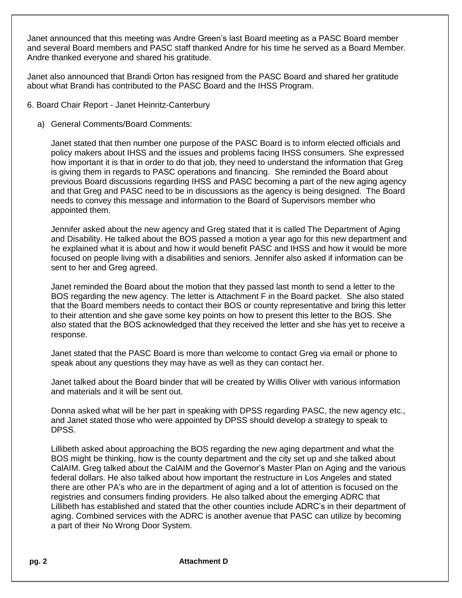Janet announced that this meeting was Andre Green's last Board meeting as a PASC Board member and several Board members and PASC staff thanked Andre for his time he served as a Board Member. Andre thanked everyone and shared his gratitude.

Janet also announced that Brandi Orton has resigned from the PASC Board and shared her gratitude about what Brandi has contributed to the PASC Board and the IHSS Program.

- 6. Board Chair Report Janet Heinritz-Canterbury
	- a) General Comments/Board Comments:

Janet stated that then number one purpose of the PASC Board is to inform elected officials and policy makers about IHSS and the issues and problems facing IHSS consumers. She expressed how important it is that in order to do that job, they need to understand the information that Greg is giving them in regards to PASC operations and financing. She reminded the Board about previous Board discussions regarding IHSS and PASC becoming a part of the new aging agency and that Greg and PASC need to be in discussions as the agency is being designed. The Board needs to convey this message and information to the Board of Supervisors member who appointed them.

Jennifer asked about the new agency and Greg stated that it is called The Department of Aging and Disability. He talked about the BOS passed a motion a year ago for this new department and he explained what it is about and how it would benefit PASC and IHSS and how it would be more focused on people living with a disabilities and seniors. Jennifer also asked if information can be sent to her and Greg agreed.

Janet reminded the Board about the motion that they passed last month to send a letter to the BOS regarding the new agency. The letter is Attachment F in the Board packet. She also stated that the Board members needs to contact their BOS or county representative and bring this letter to their attention and she gave some key points on how to present this letter to the BOS. She also stated that the BOS acknowledged that they received the letter and she has yet to receive a response.

Janet stated that the PASC Board is more than welcome to contact Greg via email or phone to speak about any questions they may have as well as they can contact her.

Janet talked about the Board binder that will be created by Willis Oliver with various information and materials and it will be sent out.

Donna asked what will be her part in speaking with DPSS regarding PASC, the new agency etc., and Janet stated those who were appointed by DPSS should develop a strategy to speak to DPSS.

Lillibeth asked about approaching the BOS regarding the new aging department and what the BOS might be thinking, how is the county department and the city set up and she talked about CalAIM. Greg talked about the CalAIM and the Governor's Master Plan on Aging and the various federal dollars. He also talked about how important the restructure in Los Angeles and stated there are other PA's who are in the department of aging and a lot of attention is focused on the registries and consumers finding providers. He also talked about the emerging ADRC that Lillibeth has established and stated that the other counties include ADRC's in their department of aging. Combined services with the ADRC is another avenue that PASC can utilize by becoming a part of their No Wrong Door System.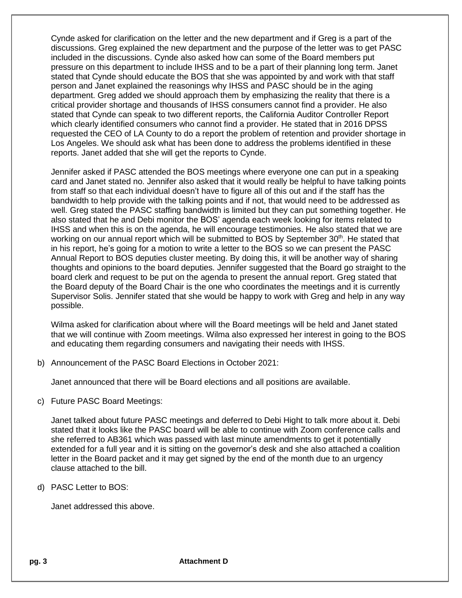Cynde asked for clarification on the letter and the new department and if Greg is a part of the discussions. Greg explained the new department and the purpose of the letter was to get PASC included in the discussions. Cynde also asked how can some of the Board members put pressure on this department to include IHSS and to be a part of their planning long term. Janet stated that Cynde should educate the BOS that she was appointed by and work with that staff person and Janet explained the reasonings why IHSS and PASC should be in the aging department. Greg added we should approach them by emphasizing the reality that there is a critical provider shortage and thousands of IHSS consumers cannot find a provider. He also stated that Cynde can speak to two different reports, the California Auditor Controller Report which clearly identified consumers who cannot find a provider. He stated that in 2016 DPSS requested the CEO of LA County to do a report the problem of retention and provider shortage in Los Angeles. We should ask what has been done to address the problems identified in these reports. Janet added that she will get the reports to Cynde.

Jennifer asked if PASC attended the BOS meetings where everyone one can put in a speaking card and Janet stated no. Jennifer also asked that it would really be helpful to have talking points from staff so that each individual doesn't have to figure all of this out and if the staff has the bandwidth to help provide with the talking points and if not, that would need to be addressed as well. Greg stated the PASC staffing bandwidth is limited but they can put something together. He also stated that he and Debi monitor the BOS' agenda each week looking for items related to IHSS and when this is on the agenda, he will encourage testimonies. He also stated that we are working on our annual report which will be submitted to BOS by September 30<sup>th</sup>. He stated that in his report, he's going for a motion to write a letter to the BOS so we can present the PASC Annual Report to BOS deputies cluster meeting. By doing this, it will be another way of sharing thoughts and opinions to the board deputies. Jennifer suggested that the Board go straight to the board clerk and request to be put on the agenda to present the annual report. Greg stated that the Board deputy of the Board Chair is the one who coordinates the meetings and it is currently Supervisor Solis. Jennifer stated that she would be happy to work with Greg and help in any way possible.

Wilma asked for clarification about where will the Board meetings will be held and Janet stated that we will continue with Zoom meetings. Wilma also expressed her interest in going to the BOS and educating them regarding consumers and navigating their needs with IHSS.

b) Announcement of the PASC Board Elections in October 2021:

Janet announced that there will be Board elections and all positions are available.

c) Future PASC Board Meetings:

Janet talked about future PASC meetings and deferred to Debi Hight to talk more about it. Debi stated that it looks like the PASC board will be able to continue with Zoom conference calls and she referred to AB361 which was passed with last minute amendments to get it potentially extended for a full year and it is sitting on the governor's desk and she also attached a coalition letter in the Board packet and it may get signed by the end of the month due to an urgency clause attached to the bill.

## d) PASC Letter to BOS:

Janet addressed this above.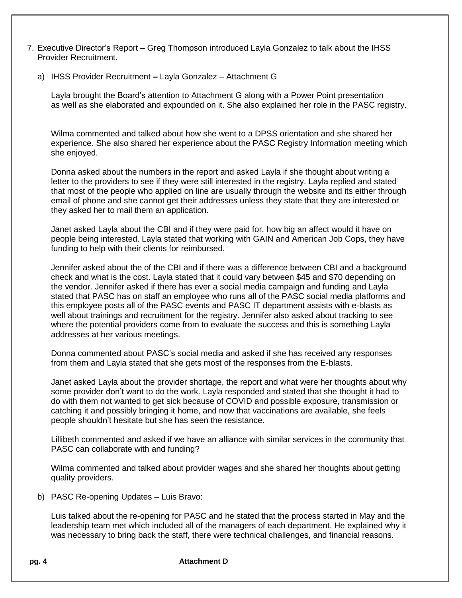- 7. Executive Director's Report Greg Thompson introduced Layla Gonzalez to talk about the IHSS Provider Recruitment.
	- a) IHSS Provider Recruitment **–** Layla Gonzalez Attachment G

Layla brought the Board's attention to Attachment G along with a Power Point presentation as well as she elaborated and expounded on it. She also explained her role in the PASC registry.

Wilma commented and talked about how she went to a DPSS orientation and she shared her experience. She also shared her experience about the PASC Registry Information meeting which she enjoyed.

Donna asked about the numbers in the report and asked Layla if she thought about writing a letter to the providers to see if they were still interested in the registry. Layla replied and stated that most of the people who applied on line are usually through the website and its either through email of phone and she cannot get their addresses unless they state that they are interested or they asked her to mail them an application.

Janet asked Layla about the CBI and if they were paid for, how big an affect would it have on people being interested. Layla stated that working with GAIN and American Job Cops, they have funding to help with their clients for reimbursed.

Jennifer asked about the of the CBI and if there was a difference between CBI and a background check and what is the cost. Layla stated that it could vary between \$45 and \$70 depending on the vendor. Jennifer asked if there has ever a social media campaign and funding and Layla stated that PASC has on staff an employee who runs all of the PASC social media platforms and this employee posts all of the PASC events and PASC IT department assists with e-blasts as well about trainings and recruitment for the registry. Jennifer also asked about tracking to see where the potential providers come from to evaluate the success and this is something Layla addresses at her various meetings.

Donna commented about PASC's social media and asked if she has received any responses from them and Layla stated that she gets most of the responses from the E-blasts.

Janet asked Layla about the provider shortage, the report and what were her thoughts about why some provider don't want to do the work. Layla responded and stated that she thought it had to do with them not wanted to get sick because of COVID and possible exposure, transmission or catching it and possibly bringing it home, and now that vaccinations are available, she feels people shouldn't hesitate but she has seen the resistance.

Lillibeth commented and asked if we have an alliance with similar services in the community that PASC can collaborate with and funding?

Wilma commented and talked about provider wages and she shared her thoughts about getting quality providers.

b) PASC Re-opening Updates – Luis Bravo:

Luis talked about the re-opening for PASC and he stated that the process started in May and the leadership team met which included all of the managers of each department. He explained why it was necessary to bring back the staff, there were technical challenges, and financial reasons.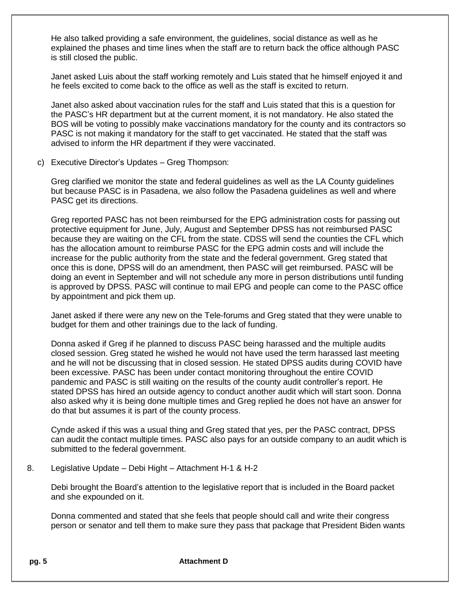He also talked providing a safe environment, the guidelines, social distance as well as he explained the phases and time lines when the staff are to return back the office although PASC is still closed the public.

Janet asked Luis about the staff working remotely and Luis stated that he himself enjoyed it and he feels excited to come back to the office as well as the staff is excited to return.

Janet also asked about vaccination rules for the staff and Luis stated that this is a question for the PASC's HR department but at the current moment, it is not mandatory. He also stated the BOS will be voting to possibly make vaccinations mandatory for the county and its contractors so PASC is not making it mandatory for the staff to get vaccinated. He stated that the staff was advised to inform the HR department if they were vaccinated.

c) Executive Director's Updates – Greg Thompson:

Greg clarified we monitor the state and federal guidelines as well as the LA County guidelines but because PASC is in Pasadena, we also follow the Pasadena guidelines as well and where PASC get its directions.

Greg reported PASC has not been reimbursed for the EPG administration costs for passing out protective equipment for June, July, August and September DPSS has not reimbursed PASC because they are waiting on the CFL from the state. CDSS will send the counties the CFL which has the allocation amount to reimburse PASC for the EPG admin costs and will include the increase for the public authority from the state and the federal government. Greg stated that once this is done, DPSS will do an amendment, then PASC will get reimbursed. PASC will be doing an event in September and will not schedule any more in person distributions until funding is approved by DPSS. PASC will continue to mail EPG and people can come to the PASC office by appointment and pick them up.

Janet asked if there were any new on the Tele-forums and Greg stated that they were unable to budget for them and other trainings due to the lack of funding.

Donna asked if Greg if he planned to discuss PASC being harassed and the multiple audits closed session. Greg stated he wished he would not have used the term harassed last meeting and he will not be discussing that in closed session. He stated DPSS audits during COVID have been excessive. PASC has been under contact monitoring throughout the entire COVID pandemic and PASC is still waiting on the results of the county audit controller's report. He stated DPSS has hired an outside agency to conduct another audit which will start soon. Donna also asked why it is being done multiple times and Greg replied he does not have an answer for do that but assumes it is part of the county process.

Cynde asked if this was a usual thing and Greg stated that yes, per the PASC contract, DPSS can audit the contact multiple times. PASC also pays for an outside company to an audit which is submitted to the federal government.

8. Legislative Update – Debi Hight – Attachment H-1 & H-2

Debi brought the Board's attention to the legislative report that is included in the Board packet and she expounded on it.

Donna commented and stated that she feels that people should call and write their congress person or senator and tell them to make sure they pass that package that President Biden wants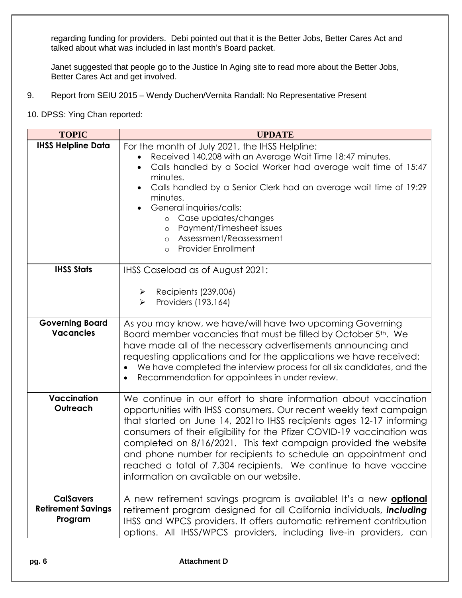regarding funding for providers. Debi pointed out that it is the Better Jobs, Better Cares Act and talked about what was included in last month's Board packet.

Janet suggested that people go to the Justice In Aging site to read more about the Better Jobs, Better Cares Act and get involved.

- 9. Report from SEIU 2015 Wendy Duchen/Vernita Randall: No Representative Present
- 10. DPSS: Ying Chan reported:

| <b>TOPIC</b>                                             | <b>UPDATE</b>                                                                                                                                                                                                                                                                                                                                                                                                                                                                                                                                  |
|----------------------------------------------------------|------------------------------------------------------------------------------------------------------------------------------------------------------------------------------------------------------------------------------------------------------------------------------------------------------------------------------------------------------------------------------------------------------------------------------------------------------------------------------------------------------------------------------------------------|
| <b>IHSS Helpline Data</b>                                | For the month of July 2021, the IHSS Helpline:<br>Received 140,208 with an Average Wait Time 18:47 minutes.<br>Calls handled by a Social Worker had average wait time of 15:47<br>minutes.<br>Calls handled by a Senior Clerk had an average wait time of 19:29<br>minutes.<br>General inquiries/calls:<br>Case updates/changes<br>$\circ$<br>Payment/Timesheet issues<br>$\circ$<br>Assessment/Reassessment<br>$\circ$<br><b>Provider Enrollment</b><br>$\circ$                                                                               |
| <b>IHSS Stats</b>                                        | IHSS Caseload as of August 2021:<br>Recipients (239,006)<br>➤<br>Providers (193,164)<br>$\blacktriangleright$                                                                                                                                                                                                                                                                                                                                                                                                                                  |
| <b>Governing Board</b><br><b>Vacancies</b>               | As you may know, we have/will have two upcoming Governing<br>Board member vacancies that must be filled by October 5th. We<br>have made all of the necessary advertisements announcing and<br>requesting applications and for the applications we have received:<br>We have completed the interview process for all six candidates, and the<br>Recommendation for appointees in under review.<br>$\bullet$                                                                                                                                     |
| <b>Vaccination</b><br>Outreach                           | We continue in our effort to share information about vaccination<br>opportunities with IHSS consumers. Our recent weekly text campaign<br>that started on June 14, 2021 to IHSS recipients ages 12-17 informing<br>consumers of their eligibility for the Pfizer COVID-19 vaccination was<br>completed on 8/16/2021. This text campaign provided the website<br>and phone number for recipients to schedule an appointment and<br>reached a total of 7,304 recipients. We continue to have vaccine<br>information on available on our website. |
| <b>CalSavers</b><br><b>Retirement Savings</b><br>Program | A new retirement savings program is available! It's a new <b>optional</b><br>retirement program designed for all California individuals, including<br>IHSS and WPCS providers. It offers automatic retirement contribution<br>options. All IHSS/WPCS providers, including live-in providers, can                                                                                                                                                                                                                                               |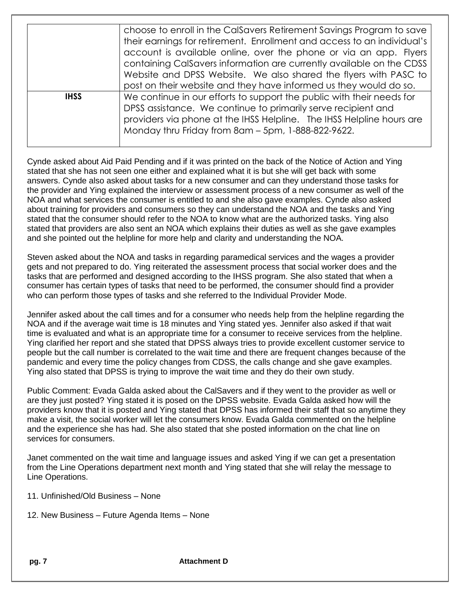|             | choose to enroll in the CalSavers Retirement Savings Program to save<br>their earnings for retirement. Enrollment and access to an individual's<br>account is available online, over the phone or via an app. Flyers<br>containing CalSavers information are currently available on the CDSS<br>Website and DPSS Website. We also shared the flyers with PASC to<br>post on their website and they have informed us they would do so. |
|-------------|---------------------------------------------------------------------------------------------------------------------------------------------------------------------------------------------------------------------------------------------------------------------------------------------------------------------------------------------------------------------------------------------------------------------------------------|
| <b>IHSS</b> | We continue in our efforts to support the public with their needs for<br>DPSS assistance. We continue to primarily serve recipient and<br>providers via phone at the IHSS Helpline. The IHSS Helpline hours are<br>Monday thru Friday from 8am - 5pm, 1-888-822-9622.                                                                                                                                                                 |

Cynde asked about Aid Paid Pending and if it was printed on the back of the Notice of Action and Ying stated that she has not seen one either and explained what it is but she will get back with some answers. Cynde also asked about tasks for a new consumer and can they understand those tasks for the provider and Ying explained the interview or assessment process of a new consumer as well of the NOA and what services the consumer is entitled to and she also gave examples. Cynde also asked about training for providers and consumers so they can understand the NOA and the tasks and Ying stated that the consumer should refer to the NOA to know what are the authorized tasks. Ying also stated that providers are also sent an NOA which explains their duties as well as she gave examples and she pointed out the helpline for more help and clarity and understanding the NOA.

Steven asked about the NOA and tasks in regarding paramedical services and the wages a provider gets and not prepared to do. Ying reiterated the assessment process that social worker does and the tasks that are performed and designed according to the IHSS program. She also stated that when a consumer has certain types of tasks that need to be performed, the consumer should find a provider who can perform those types of tasks and she referred to the Individual Provider Mode.

Jennifer asked about the call times and for a consumer who needs help from the helpline regarding the NOA and if the average wait time is 18 minutes and Ying stated yes. Jennifer also asked if that wait time is evaluated and what is an appropriate time for a consumer to receive services from the helpline. Ying clarified her report and she stated that DPSS always tries to provide excellent customer service to people but the call number is correlated to the wait time and there are frequent changes because of the pandemic and every time the policy changes from CDSS, the calls change and she gave examples. Ying also stated that DPSS is trying to improve the wait time and they do their own study.

Public Comment: Evada Galda asked about the CalSavers and if they went to the provider as well or are they just posted? Ying stated it is posed on the DPSS website. Evada Galda asked how will the providers know that it is posted and Ying stated that DPSS has informed their staff that so anytime they make a visit, the social worker will let the consumers know. Evada Galda commented on the helpline and the experience she has had. She also stated that she posted information on the chat line on services for consumers.

Janet commented on the wait time and language issues and asked Ying if we can get a presentation from the Line Operations department next month and Ying stated that she will relay the message to Line Operations.

- 11. Unfinished/Old Business None
- 12. New Business Future Agenda Items None